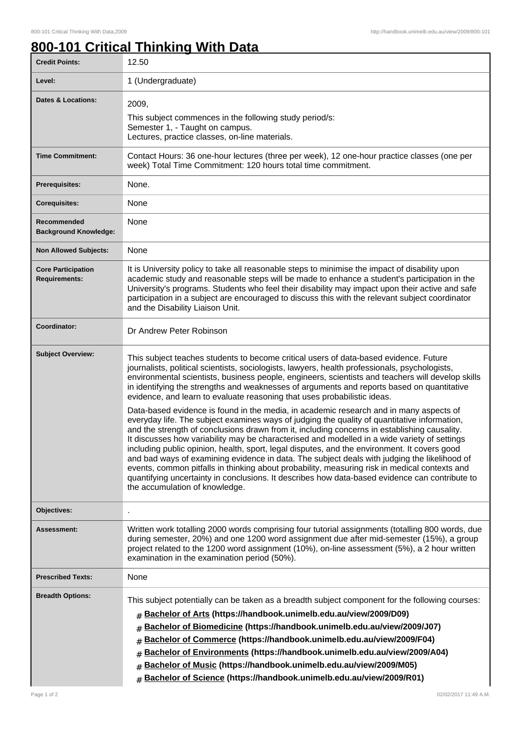1

## **800-101 Critical Thinking With Data**

| <b>Credit Points:</b>                             | 12.50                                                                                                                                                                                                                                                                                                                                                                                                                                                                                                                                                                                                                                                                                                                                                                                                                                                                                                                                                                                                                                                                                                                                                                                                                                                                                                 |
|---------------------------------------------------|-------------------------------------------------------------------------------------------------------------------------------------------------------------------------------------------------------------------------------------------------------------------------------------------------------------------------------------------------------------------------------------------------------------------------------------------------------------------------------------------------------------------------------------------------------------------------------------------------------------------------------------------------------------------------------------------------------------------------------------------------------------------------------------------------------------------------------------------------------------------------------------------------------------------------------------------------------------------------------------------------------------------------------------------------------------------------------------------------------------------------------------------------------------------------------------------------------------------------------------------------------------------------------------------------------|
| Level:                                            | 1 (Undergraduate)                                                                                                                                                                                                                                                                                                                                                                                                                                                                                                                                                                                                                                                                                                                                                                                                                                                                                                                                                                                                                                                                                                                                                                                                                                                                                     |
| Dates & Locations:                                | 2009,<br>This subject commences in the following study period/s:<br>Semester 1, - Taught on campus.<br>Lectures, practice classes, on-line materials.                                                                                                                                                                                                                                                                                                                                                                                                                                                                                                                                                                                                                                                                                                                                                                                                                                                                                                                                                                                                                                                                                                                                                 |
| <b>Time Commitment:</b>                           | Contact Hours: 36 one-hour lectures (three per week), 12 one-hour practice classes (one per<br>week) Total Time Commitment: 120 hours total time commitment.                                                                                                                                                                                                                                                                                                                                                                                                                                                                                                                                                                                                                                                                                                                                                                                                                                                                                                                                                                                                                                                                                                                                          |
| <b>Prerequisites:</b>                             | None.                                                                                                                                                                                                                                                                                                                                                                                                                                                                                                                                                                                                                                                                                                                                                                                                                                                                                                                                                                                                                                                                                                                                                                                                                                                                                                 |
| <b>Corequisites:</b>                              | None                                                                                                                                                                                                                                                                                                                                                                                                                                                                                                                                                                                                                                                                                                                                                                                                                                                                                                                                                                                                                                                                                                                                                                                                                                                                                                  |
| Recommended<br><b>Background Knowledge:</b>       | None                                                                                                                                                                                                                                                                                                                                                                                                                                                                                                                                                                                                                                                                                                                                                                                                                                                                                                                                                                                                                                                                                                                                                                                                                                                                                                  |
| <b>Non Allowed Subjects:</b>                      | None                                                                                                                                                                                                                                                                                                                                                                                                                                                                                                                                                                                                                                                                                                                                                                                                                                                                                                                                                                                                                                                                                                                                                                                                                                                                                                  |
| <b>Core Participation</b><br><b>Requirements:</b> | It is University policy to take all reasonable steps to minimise the impact of disability upon<br>academic study and reasonable steps will be made to enhance a student's participation in the<br>University's programs. Students who feel their disability may impact upon their active and safe<br>participation in a subject are encouraged to discuss this with the relevant subject coordinator<br>and the Disability Liaison Unit.                                                                                                                                                                                                                                                                                                                                                                                                                                                                                                                                                                                                                                                                                                                                                                                                                                                              |
| Coordinator:                                      | Dr Andrew Peter Robinson                                                                                                                                                                                                                                                                                                                                                                                                                                                                                                                                                                                                                                                                                                                                                                                                                                                                                                                                                                                                                                                                                                                                                                                                                                                                              |
| <b>Subject Overview:</b>                          | This subject teaches students to become critical users of data-based evidence. Future<br>journalists, political scientists, sociologists, lawyers, health professionals, psychologists,<br>environmental scientists, business people, engineers, scientists and teachers will develop skills<br>in identifying the strengths and weaknesses of arguments and reports based on quantitative<br>evidence, and learn to evaluate reasoning that uses probabilistic ideas.<br>Data-based evidence is found in the media, in academic research and in many aspects of<br>everyday life. The subject examines ways of judging the quality of quantitative information,<br>and the strength of conclusions drawn from it, including concerns in establishing causality.<br>It discusses how variability may be characterised and modelled in a wide variety of settings<br>including public opinion, health, sport, legal disputes, and the environment. It covers good<br>and bad ways of examining evidence in data. The subject deals with judging the likelihood of<br>events, common pitfalls in thinking about probability, measuring risk in medical contexts and<br>quantifying uncertainty in conclusions. It describes how data-based evidence can contribute to<br>the accumulation of knowledge. |
| Objectives:                                       |                                                                                                                                                                                                                                                                                                                                                                                                                                                                                                                                                                                                                                                                                                                                                                                                                                                                                                                                                                                                                                                                                                                                                                                                                                                                                                       |
| Assessment:                                       | Written work totalling 2000 words comprising four tutorial assignments (totalling 800 words, due<br>during semester, 20%) and one 1200 word assignment due after mid-semester (15%), a group<br>project related to the 1200 word assignment (10%), on-line assessment (5%), a 2 hour written<br>examination in the examination period (50%).                                                                                                                                                                                                                                                                                                                                                                                                                                                                                                                                                                                                                                                                                                                                                                                                                                                                                                                                                          |
| <b>Prescribed Texts:</b>                          | None                                                                                                                                                                                                                                                                                                                                                                                                                                                                                                                                                                                                                                                                                                                                                                                                                                                                                                                                                                                                                                                                                                                                                                                                                                                                                                  |
| <b>Breadth Options:</b>                           | This subject potentially can be taken as a breadth subject component for the following courses:<br>Bachelor of Arts (https://handbook.unimelb.edu.au/view/2009/D09)<br>#<br>Bachelor of Biomedicine (https://handbook.unimelb.edu.au/view/2009/J07)<br>#<br>Bachelor of Commerce (https://handbook.unimelb.edu.au/view/2009/F04)<br>#<br>Bachelor of Environments (https://handbook.unimelb.edu.au/view/2009/A04)<br>#<br>Bachelor of Music (https://handbook.unimelb.edu.au/view/2009/M05)<br>#<br>Bachelor of Science (https://handbook.unimelb.edu.au/view/2009/R01)<br>#                                                                                                                                                                                                                                                                                                                                                                                                                                                                                                                                                                                                                                                                                                                          |